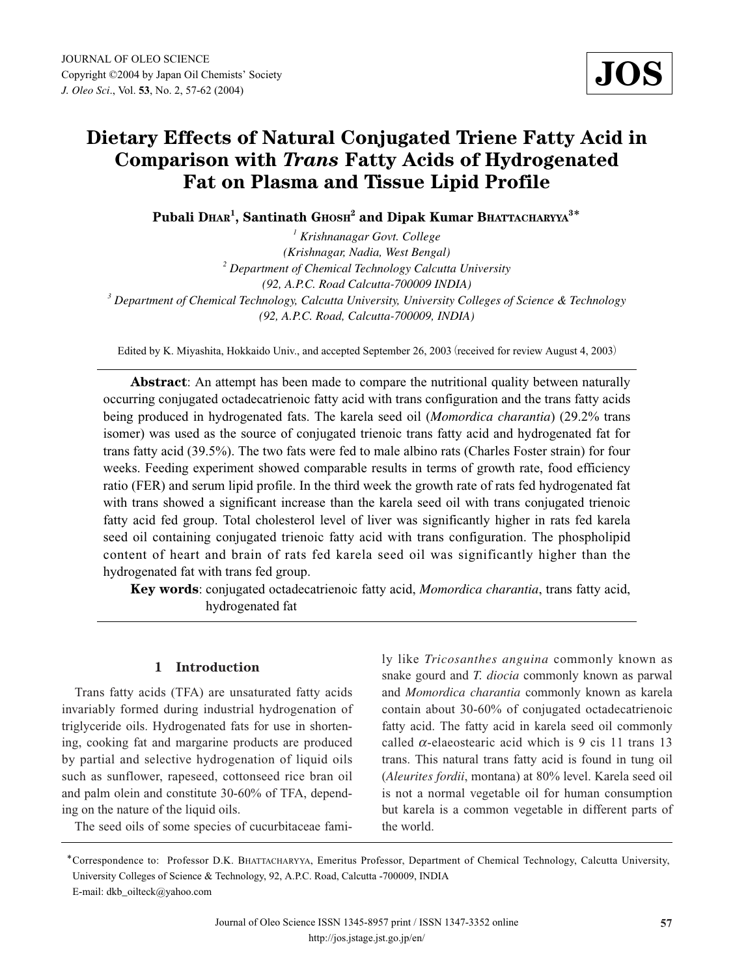# **Dietary Effects of Natural Conjugated Triene Fatty Acid in Comparison with** *Trans* **Fatty Acids of Hydrogenated Fat on Plasma and Tissue Lipid Profile**

**Pubali DHAR<sup>1</sup> , Santinath GHOSH2 and Dipak Kumar BHATTACHARYYA<sup>3</sup>**\*

*<sup>1</sup> Krishnanagar Govt. College (Krishnagar, Nadia, West Bengal) <sup>2</sup> Department of Chemical Technology Calcutta University (92, A.P.C. Road Calcutta-700009 INDIA) <sup>3</sup> Department of Chemical Technology, Calcutta University, University Colleges of Science & Technology (92, A.P.C. Road, Calcutta-700009, INDIA)*

Edited by K. Miyashita, Hokkaido Univ., and accepted September 26, 2003 (received for review August 4, 2003)

**Abstract**: An attempt has been made to compare the nutritional quality between naturally occurring conjugated octadecatrienoic fatty acid with trans configuration and the trans fatty acids being produced in hydrogenated fats. The karela seed oil (*Momordica charantia*) (29.2% trans isomer) was used as the source of conjugated trienoic trans fatty acid and hydrogenated fat for trans fatty acid (39.5%). The two fats were fed to male albino rats (Charles Foster strain) for four weeks. Feeding experiment showed comparable results in terms of growth rate, food efficiency ratio (FER) and serum lipid profile. In the third week the growth rate of rats fed hydrogenated fat with trans showed a significant increase than the karela seed oil with trans conjugated trienoic fatty acid fed group. Total cholesterol level of liver was significantly higher in rats fed karela seed oil containing conjugated trienoic fatty acid with trans configuration. The phospholipid content of heart and brain of rats fed karela seed oil was significantly higher than the hydrogenated fat with trans fed group.

**Key words**: conjugated octadecatrienoic fatty acid, *Momordica charantia*, trans fatty acid, hydrogenated fat

# **1 Introduction**

Trans fatty acids (TFA) are unsaturated fatty acids invariably formed during industrial hydrogenation of triglyceride oils. Hydrogenated fats for use in shortening, cooking fat and margarine products are produced by partial and selective hydrogenation of liquid oils such as sunflower, rapeseed, cottonseed rice bran oil and palm olein and constitute 30-60% of TFA, depending on the nature of the liquid oils.

The seed oils of some species of cucurbitaceae fami-

ly like *Tricosanthes anguina* commonly known as snake gourd and *T. diocia* commonly known as parwal and *Momordica charantia* commonly known as karela contain about 30-60% of conjugated octadecatrienoic fatty acid. The fatty acid in karela seed oil commonly called  $\alpha$ -elaeostearic acid which is 9 cis 11 trans 13 trans. This natural trans fatty acid is found in tung oil (*Aleurites fordii*, montana) at 80% level. Karela seed oil is not a normal vegetable oil for human consumption but karela is a common vegetable in different parts of the world.

<sup>\*</sup>Correspondence to: Professor D.K. BHATTACHARYYA, Emeritus Professor, Department of Chemical Technology, Calcutta University, University Colleges of Science & Technology, 92, A.P.C. Road, Calcutta -700009, INDIA E-mail: dkb\_oilteck@yahoo.com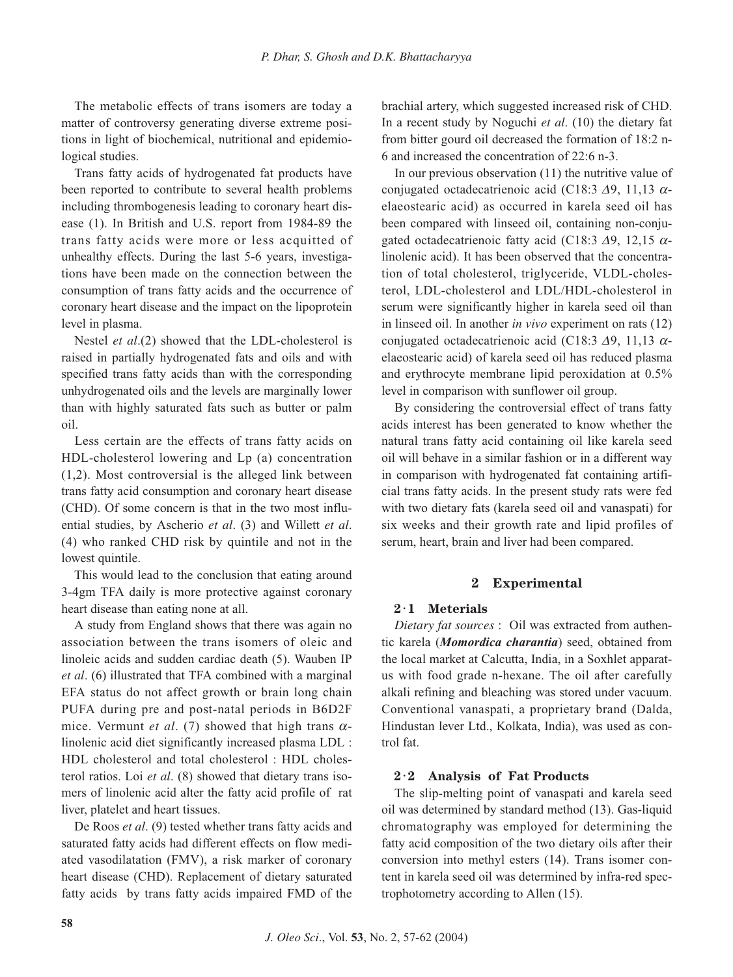The metabolic effects of trans isomers are today a matter of controversy generating diverse extreme positions in light of biochemical, nutritional and epidemiological studies.

Trans fatty acids of hydrogenated fat products have been reported to contribute to several health problems including thrombogenesis leading to coronary heart disease (1). In British and U.S. report from 1984-89 the trans fatty acids were more or less acquitted of unhealthy effects. During the last 5-6 years, investigations have been made on the connection between the consumption of trans fatty acids and the occurrence of coronary heart disease and the impact on the lipoprotein level in plasma.

Nestel *et al*.(2) showed that the LDL-cholesterol is raised in partially hydrogenated fats and oils and with specified trans fatty acids than with the corresponding unhydrogenated oils and the levels are marginally lower than with highly saturated fats such as butter or palm oil.

Less certain are the effects of trans fatty acids on HDL-cholesterol lowering and Lp (a) concentration (1,2). Most controversial is the alleged link between trans fatty acid consumption and coronary heart disease (CHD). Of some concern is that in the two most influential studies, by Ascherio *et al*. (3) and Willett *et al*. (4) who ranked CHD risk by quintile and not in the lowest quintile.

This would lead to the conclusion that eating around 3-4gm TFA daily is more protective against coronary heart disease than eating none at all.

A study from England shows that there was again no association between the trans isomers of oleic and linoleic acids and sudden cardiac death (5). Wauben IP *et al*. (6) illustrated that TFA combined with a marginal EFA status do not affect growth or brain long chain PUFA during pre and post-natal periods in B6D2F mice. Vermunt *et al.* (7) showed that high trans  $\alpha$ linolenic acid diet significantly increased plasma LDL : HDL cholesterol and total cholesterol : HDL cholesterol ratios. Loi *et al*. (8) showed that dietary trans isomers of linolenic acid alter the fatty acid profile of rat liver, platelet and heart tissues.

De Roos *et al*. (9) tested whether trans fatty acids and saturated fatty acids had different effects on flow mediated vasodilatation (FMV), a risk marker of coronary heart disease (CHD). Replacement of dietary saturated fatty acids by trans fatty acids impaired FMD of the brachial artery, which suggested increased risk of CHD. In a recent study by Noguchi *et al*. (10) the dietary fat from bitter gourd oil decreased the formation of 18:2 n-6 and increased the concentration of 22:6 n-3.

In our previous observation (11) the nutritive value of conjugated octadecatrienoic acid (C18:3  $\Delta$ 9, 11,13  $\alpha$ elaeostearic acid) as occurred in karela seed oil has been compared with linseed oil, containing non-conjugated octadecatrienoic fatty acid (C18:3  $\Delta$ 9, 12,15  $\alpha$ linolenic acid). It has been observed that the concentration of total cholesterol, triglyceride, VLDL-cholesterol, LDL-cholesterol and LDL/HDL-cholesterol in serum were significantly higher in karela seed oil than in linseed oil. In another *in vivo* experiment on rats (12) conjugated octadecatrienoic acid (C18:3  $\Delta$ 9, 11,13  $\alpha$ elaeostearic acid) of karela seed oil has reduced plasma and erythrocyte membrane lipid peroxidation at 0.5% level in comparison with sunflower oil group.

By considering the controversial effect of trans fatty acids interest has been generated to know whether the natural trans fatty acid containing oil like karela seed oil will behave in a similar fashion or in a different way in comparison with hydrogenated fat containing artificial trans fatty acids. In the present study rats were fed with two dietary fats (karela seed oil and vanaspati) for six weeks and their growth rate and lipid profiles of serum, heart, brain and liver had been compared.

## **2 Experimental**

#### **2**・**1 Meterials**

*Dietary fat sources* : Oil was extracted from authentic karela (*Momordica charantia*) seed, obtained from the local market at Calcutta, India, in a Soxhlet apparatus with food grade n-hexane. The oil after carefully alkali refining and bleaching was stored under vacuum. Conventional vanaspati, a proprietary brand (Dalda, Hindustan lever Ltd., Kolkata, India), was used as control fat.

#### **2**・**2 Analysis of Fat Products**

The slip-melting point of vanaspati and karela seed oil was determined by standard method (13). Gas-liquid chromatography was employed for determining the fatty acid composition of the two dietary oils after their conversion into methyl esters (14). Trans isomer content in karela seed oil was determined by infra-red spectrophotometry according to Allen (15).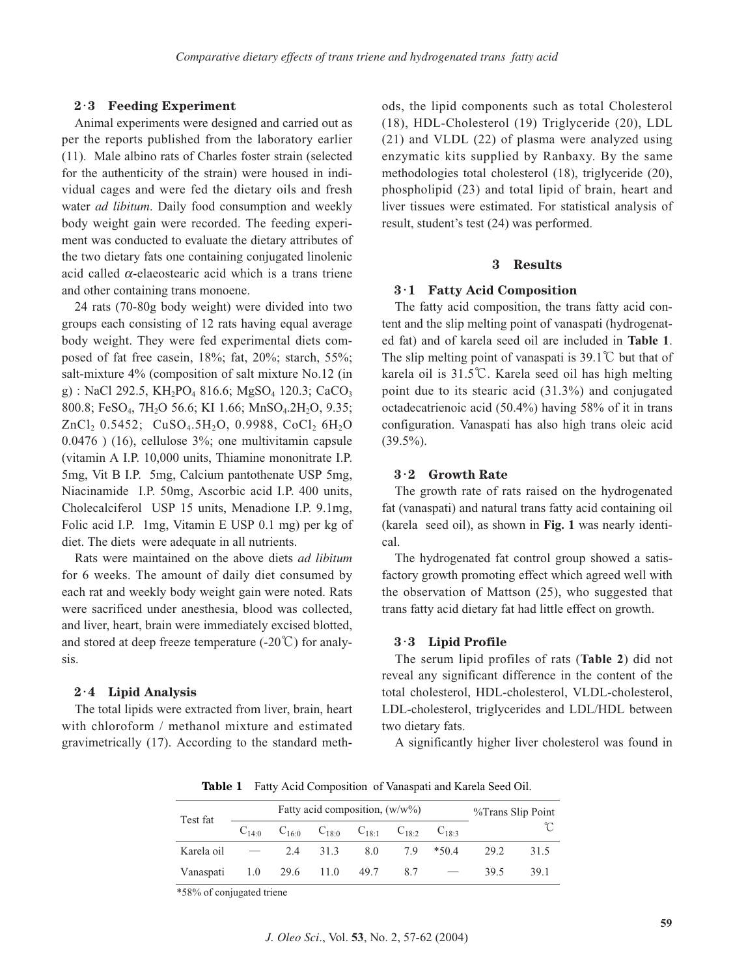## **2**・**3 Feeding Experiment**

Animal experiments were designed and carried out as per the reports published from the laboratory earlier (11). Male albino rats of Charles foster strain (selected for the authenticity of the strain) were housed in individual cages and were fed the dietary oils and fresh water *ad libitum*. Daily food consumption and weekly body weight gain were recorded. The feeding experiment was conducted to evaluate the dietary attributes of the two dietary fats one containing conjugated linolenic acid called  $\alpha$ -elaeostearic acid which is a trans triene and other containing trans monoene.

24 rats (70-80g body weight) were divided into two groups each consisting of 12 rats having equal average body weight. They were fed experimental diets composed of fat free casein, 18%; fat, 20%; starch, 55%; salt-mixture 4% (composition of salt mixture No.12 (in g) : NaCl 292.5, KH<sub>2</sub>PO<sub>4</sub> 816.6; MgSO<sub>4</sub> 120.3; CaCO<sub>3</sub> 800.8; FeSO<sub>4</sub>, 7H<sub>2</sub>O 56.6; KI 1.66; MnSO<sub>4</sub>, 2H<sub>2</sub>O, 9.35;  $ZnCl_2$  0.5452; CuSO<sub>4</sub>.5H<sub>2</sub>O, 0.9988, CoCl<sub>2</sub> 6H<sub>2</sub>O 0.0476 ) (16), cellulose 3%; one multivitamin capsule (vitamin A I.P. 10,000 units, Thiamine mononitrate I.P. 5mg, Vit B I.P. 5mg, Calcium pantothenate USP 5mg, Niacinamide I.P. 50mg, Ascorbic acid I.P. 400 units, Cholecalciferol USP 15 units, Menadione I.P. 9.1mg, Folic acid I.P. 1mg, Vitamin E USP 0.1 mg) per kg of diet. The diets were adequate in all nutrients.

Rats were maintained on the above diets *ad libitum* for 6 weeks. The amount of daily diet consumed by each rat and weekly body weight gain were noted. Rats were sacrificed under anesthesia, blood was collected, and liver, heart, brain were immediately excised blotted, and stored at deep freeze temperature  $(-20^{\circ}\text{C})$  for analysis.

#### **2**・**4 Lipid Analysis**

The total lipids were extracted from liver, brain, heart with chloroform / methanol mixture and estimated gravimetrically (17). According to the standard methods, the lipid components such as total Cholesterol (18), HDL-Cholesterol (19) Triglyceride (20), LDL (21) and VLDL (22) of plasma were analyzed using enzymatic kits supplied by Ranbaxy. By the same methodologies total cholesterol (18), triglyceride (20), phospholipid (23) and total lipid of brain, heart and liver tissues were estimated. For statistical analysis of result, student's test (24) was performed.

#### **3 Results**

## **3**・**1 Fatty Acid Composition**

The fatty acid composition, the trans fatty acid content and the slip melting point of vanaspati (hydrogenated fat) and of karela seed oil are included in **Table 1**. The slip melting point of vanaspati is 39.1℃ but that of karela oil is 31.5℃. Karela seed oil has high melting point due to its stearic acid (31.3%) and conjugated octadecatrienoic acid (50.4%) having 58% of it in trans configuration. Vanaspati has also high trans oleic acid  $(39.5\%)$ .

## **3**・**2 Growth Rate**

The growth rate of rats raised on the hydrogenated fat (vanaspati) and natural trans fatty acid containing oil (karela seed oil), as shown in **Fig. 1** was nearly identical.

The hydrogenated fat control group showed a satisfactory growth promoting effect which agreed well with the observation of Mattson (25), who suggested that trans fatty acid dietary fat had little effect on growth.

## **3**・**3 Lipid Profile**

The serum lipid profiles of rats (**Table 2**) did not reveal any significant difference in the content of the total cholesterol, HDL-cholesterol, VLDL-cholesterol, LDL-cholesterol, triglycerides and LDL/HDL between two dietary fats.

A significantly higher liver cholesterol was found in

**Table 1** Fatty Acid Composition of Vanaspati and Karela Seed Oil.

| Test fat                         | Fatty acid composition, $(w/w\%)$                                 | %Trans Slip Point |           |  |      |      |
|----------------------------------|-------------------------------------------------------------------|-------------------|-----------|--|------|------|
|                                  | $C_{14:0}$ $C_{16:0}$ $C_{18:0}$ $C_{18:1}$ $C_{18:2}$ $C_{18:3}$ |                   |           |  |      |      |
| Karela oil                       |                                                                   | 2.4 31.3 8.0      | 7.9 *50.4 |  | 29.2 | 31.5 |
| Vanaspati 1.0 29.6 11.0 49.7 8.7 |                                                                   |                   |           |  | 39.5 | 39.1 |

\*58% of conjugated triene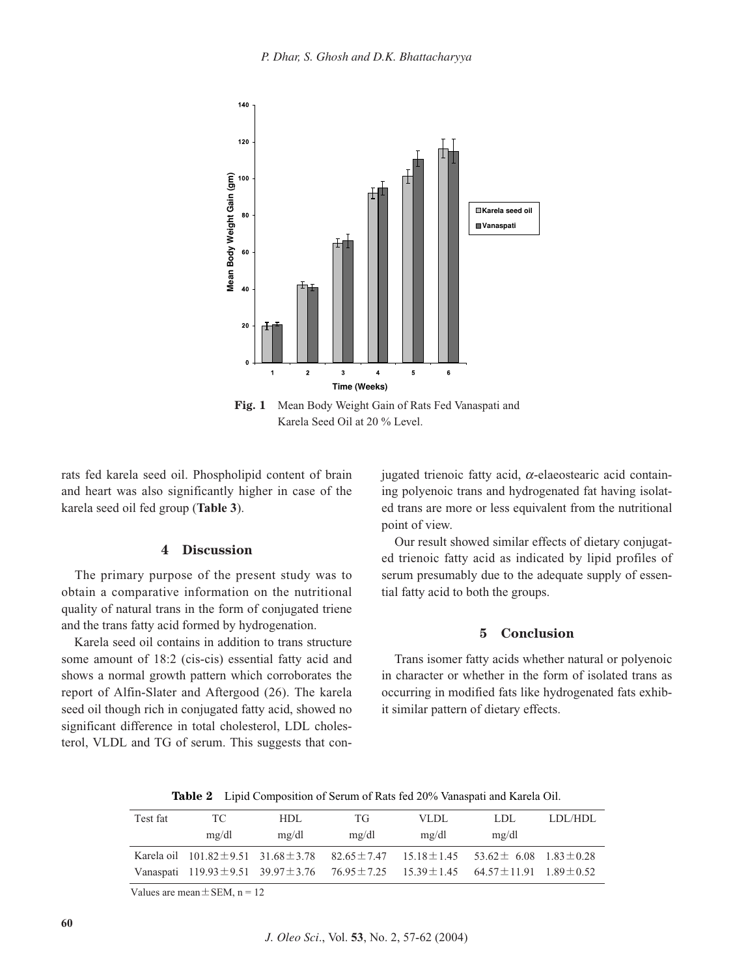

**Fig. 1** Mean Body Weight Gain of Rats Fed Vanaspati and Karela Seed Oil at 20 % Level.

rats fed karela seed oil. Phospholipid content of brain and heart was also significantly higher in case of the karela seed oil fed group (**Table 3**).

## **4 Discussion**

The primary purpose of the present study was to obtain a comparative information on the nutritional quality of natural trans in the form of conjugated triene and the trans fatty acid formed by hydrogenation.

Karela seed oil contains in addition to trans structure some amount of 18:2 (cis-cis) essential fatty acid and shows a normal growth pattern which corroborates the report of Alfin-Slater and Aftergood (26). The karela seed oil though rich in conjugated fatty acid, showed no significant difference in total cholesterol, LDL cholesterol, VLDL and TG of serum. This suggests that conjugated trienoic fatty acid,  $\alpha$ -elaeostearic acid containing polyenoic trans and hydrogenated fat having isolated trans are more or less equivalent from the nutritional point of view.

Our result showed similar effects of dietary conjugated trienoic fatty acid as indicated by lipid profiles of serum presumably due to the adequate supply of essential fatty acid to both the groups.

## **5 Conclusion**

Trans isomer fatty acids whether natural or polyenoic in character or whether in the form of isolated trans as occurring in modified fats like hydrogenated fats exhibit similar pattern of dietary effects.

**Table 2** Lipid Composition of Serum of Rats fed 20% Vanaspati and Karela Oil.

| Test fat | TC.   | HDL.  | TG    | VLDL  | LDL.                                                                                                             | LDL/HDL |
|----------|-------|-------|-------|-------|------------------------------------------------------------------------------------------------------------------|---------|
|          | mg/dl | mg/dl | mg/dl | mg/dl | mg/dl                                                                                                            |         |
|          |       |       |       |       | Karela oil $101.82 \pm 9.51$ $31.68 \pm 3.78$ $82.65 \pm 7.47$ $15.18 \pm 1.45$ $53.62 \pm 6.08$ $1.83 \pm 0.28$ |         |
|          |       |       |       |       | Vanaspati 119.93 $\pm$ 9.51 39.97 $\pm$ 3.76 76.95 $\pm$ 7.25 15.39 $\pm$ 1.45 64.57 $\pm$ 11.91 1.89 $\pm$ 0.52 |         |

Values are mean  $\pm$  SEM, n = 12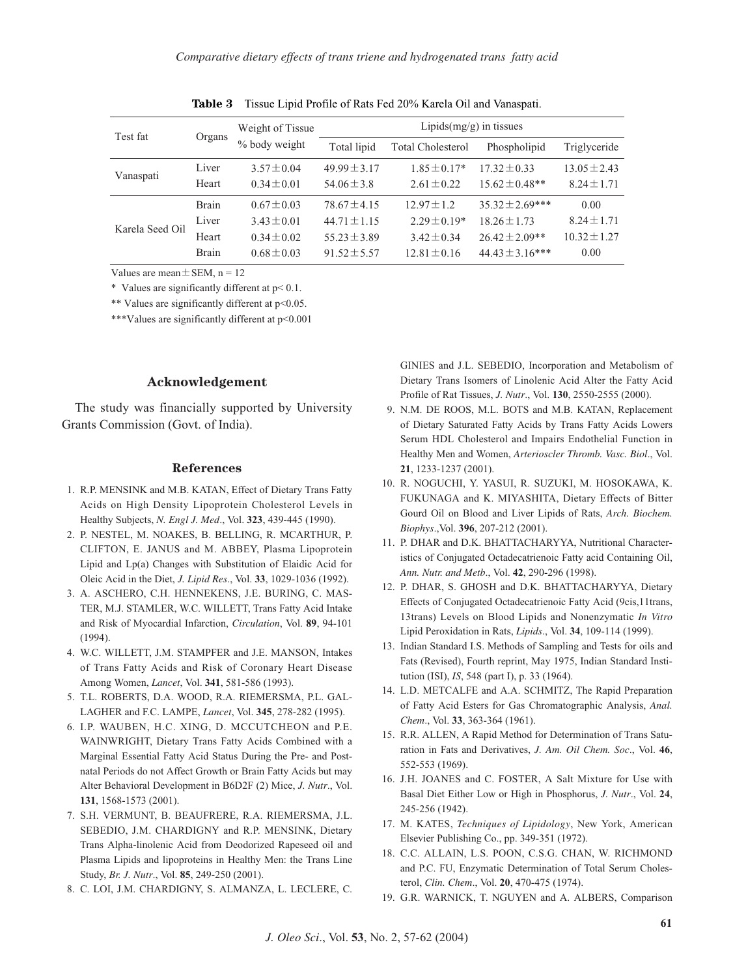| Test fat        | Organs       | Weight of Tissue | Lipids $(mg/g)$ in tissues |                          |                      |                  |  |  |
|-----------------|--------------|------------------|----------------------------|--------------------------|----------------------|------------------|--|--|
|                 |              | % body weight    | Total lipid                | <b>Total Cholesterol</b> | Phospholipid         | Triglyceride     |  |  |
| Vanaspati       | Liver        | $3.57 \pm 0.04$  | $49.99 \pm 3.17$           | $1.85 \pm 0.17*$         | $17.32 \pm 0.33$     | $13.05 \pm 2.43$ |  |  |
|                 | Heart        | $0.34 \pm 0.01$  | $54.06 \pm 3.8$            | $2.61 \pm 0.22$          | $15.62 \pm 0.48**$   | $8.24 \pm 1.71$  |  |  |
| Karela Seed Oil | <b>Brain</b> | $0.67 \pm 0.03$  | $78.67 \pm 4.15$           | $12.97 \pm 1.2$          | $35.32 \pm 2.69$ *** | 0.00             |  |  |
|                 | Liver        | $3.43 \pm 0.01$  | $44.71 \pm 1.15$           | $2.29 \pm 0.19*$         | $18.26 \pm 1.73$     | $8.24 \pm 1.71$  |  |  |
|                 | Heart        | $0.34 \pm 0.02$  | $55.23 \pm 3.89$           | $3.42 \pm 0.34$          | $26.42 \pm 2.09**$   | $10.32 \pm 1.27$ |  |  |
|                 | <b>Brain</b> | $0.68 \pm 0.03$  | $91.52 \pm 5.57$           | $12.81 \pm 0.16$         | $44.43 \pm 3.16$ *** | 0.00             |  |  |
|                 |              |                  |                            |                          |                      |                  |  |  |

**Table 3** Tissue Lipid Profile of Rats Fed 20% Karela Oil and Vanaspati.

Values are mean  $\pm$  SEM, n = 12

\* Values are significantly different at p< 0.1.

\*\* Values are significantly different at p<0.05.

\*\*\*Values are significantly different at p<0.001

#### **Acknowledgement**

The study was financially supported by University Grants Commission (Govt. of India).

#### **References**

- 1. R.P. MENSINK and M.B. KATAN, Effect of Dietary Trans Fatty Acids on High Density Lipoprotein Cholesterol Levels in Healthy Subjects, *N. Engl J. Med*., Vol. **323**, 439-445 (1990).
- 2. P. NESTEL, M. NOAKES, B. BELLING, R. MCARTHUR, P. CLIFTON, E. JANUS and M. ABBEY, Plasma Lipoprotein Lipid and Lp(a) Changes with Substitution of Elaidic Acid for Oleic Acid in the Diet, *J. Lipid Res*., Vol. **33**, 1029-1036 (1992).
- 3. A. ASCHERO, C.H. HENNEKENS, J.E. BURING, C. MAS-TER, M.J. STAMLER, W.C. WILLETT, Trans Fatty Acid Intake and Risk of Myocardial Infarction, *Circulation*, Vol. **89**, 94-101 (1994).
- 4. W.C. WILLETT, J.M. STAMPFER and J.E. MANSON, Intakes of Trans Fatty Acids and Risk of Coronary Heart Disease Among Women, *Lancet*, Vol. **341**, 581-586 (1993).
- 5. T.L. ROBERTS, D.A. WOOD, R.A. RIEMERSMA, P.L. GAL-LAGHER and F.C. LAMPE, *Lancet*, Vol. **345**, 278-282 (1995).
- 6. I.P. WAUBEN, H.C. XING, D. MCCUTCHEON and P.E. WAINWRIGHT, Dietary Trans Fatty Acids Combined with a Marginal Essential Fatty Acid Status During the Pre- and Postnatal Periods do not Affect Growth or Brain Fatty Acids but may Alter Behavioral Development in B6D2F (2) Mice, *J. Nutr*., Vol. **131**, 1568-1573 (2001).
- 7. S.H. VERMUNT, B. BEAUFRERE, R.A. RIEMERSMA, J.L. SEBEDIO, J.M. CHARDIGNY and R.P. MENSINK, Dietary Trans Alpha-linolenic Acid from Deodorized Rapeseed oil and Plasma Lipids and lipoproteins in Healthy Men: the Trans Line Study, *Br. J. Nutr*., Vol. **85**, 249-250 (2001).
- 8. C. LOI, J.M. CHARDIGNY, S. ALMANZA, L. LECLERE, C.

GINIES and J.L. SEBEDIO, Incorporation and Metabolism of Dietary Trans Isomers of Linolenic Acid Alter the Fatty Acid Profile of Rat Tissues, *J. Nutr*., Vol. **130**, 2550-2555 (2000).

- 9. N.M. DE ROOS, M.L. BOTS and M.B. KATAN, Replacement of Dietary Saturated Fatty Acids by Trans Fatty Acids Lowers Serum HDL Cholesterol and Impairs Endothelial Function in Healthy Men and Women, *Arterioscler Thromb. Vasc. Biol*., Vol. **21**, 1233-1237 (2001).
- 10. R. NOGUCHI, Y. YASUI, R. SUZUKI, M. HOSOKAWA, K. FUKUNAGA and K. MIYASHITA, Dietary Effects of Bitter Gourd Oil on Blood and Liver Lipids of Rats, *Arch. Biochem. Biophys*.,Vol. **396**, 207-212 (2001).
- 11. P. DHAR and D.K. BHATTACHARYYA, Nutritional Characteristics of Conjugated Octadecatrienoic Fatty acid Containing Oil, *Ann. Nutr. and Metb*., Vol. **42**, 290-296 (1998).
- 12. P. DHAR, S. GHOSH and D.K. BHATTACHARYYA, Dietary Effects of Conjugated Octadecatrienoic Fatty Acid (9cis,11trans, 13trans) Levels on Blood Lipids and Nonenzymatic *In Vitro* Lipid Peroxidation in Rats, *Lipids*., Vol. **34**, 109-114 (1999).
- 13. Indian Standard I.S. Methods of Sampling and Tests for oils and Fats (Revised), Fourth reprint, May 1975, Indian Standard Institution (ISI), *IS*, 548 (part I), p. 33 (1964).
- 14. L.D. METCALFE and A.A. SCHMITZ, The Rapid Preparation of Fatty Acid Esters for Gas Chromatographic Analysis, *Anal. Chem*., Vol. **33**, 363-364 (1961).
- 15. R.R. ALLEN, A Rapid Method for Determination of Trans Saturation in Fats and Derivatives, *J. Am. Oil Chem. Soc*., Vol. **46**, 552-553 (1969).
- 16. J.H. JOANES and C. FOSTER, A Salt Mixture for Use with Basal Diet Either Low or High in Phosphorus, *J. Nutr*., Vol. **24**, 245-256 (1942).
- 17. M. KATES, *Techniques of Lipidology*, New York, American Elsevier Publishing Co., pp. 349-351 (1972).
- 18. C.C. ALLAIN, L.S. POON, C.S.G. CHAN, W. RICHMOND and P.C. FU, Enzymatic Determination of Total Serum Cholesterol, *Clin. Chem*., Vol. **20**, 470-475 (1974).
- 19. G.R. WARNICK, T. NGUYEN and A. ALBERS, Comparison